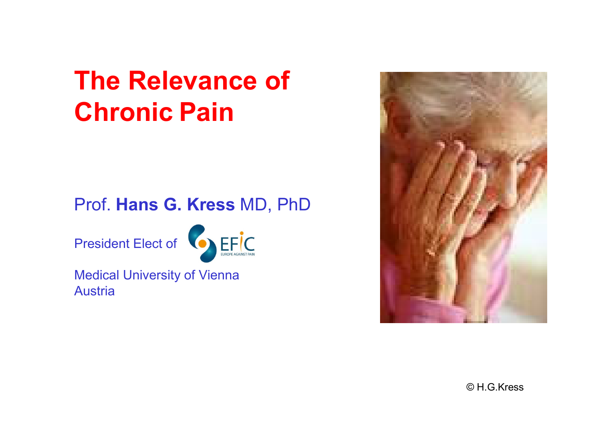# The Relevance ofChronic Pain

#### Prof. Hans G. Kress MD, PhD

President Elect of



Medical University of ViennaAustria



© H.G.Kress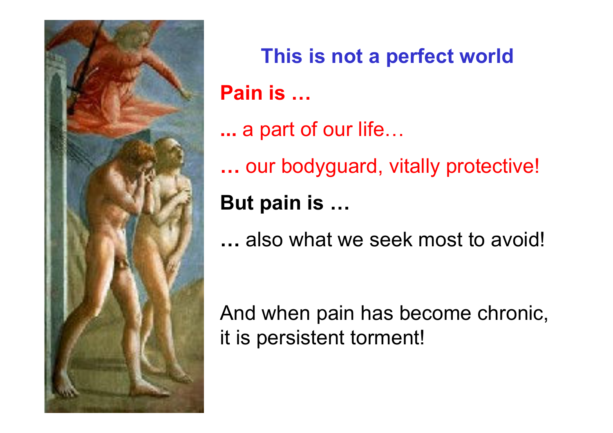

This is not a perfect worldPain is …

- ... a part of our life…
- …our bodyguard, vitally protective!

#### But pain is …

…... also what we seek most to avoid!

And when pain has become chronic, it is persistent torment!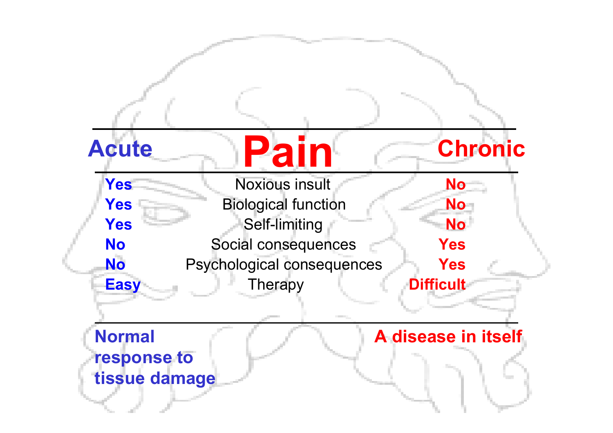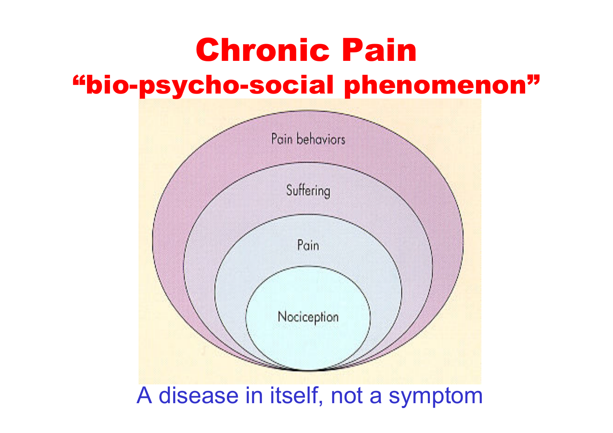# Chronic Pain"bio-psycho-social phenomenon"



#### A disease in itself, not a symptom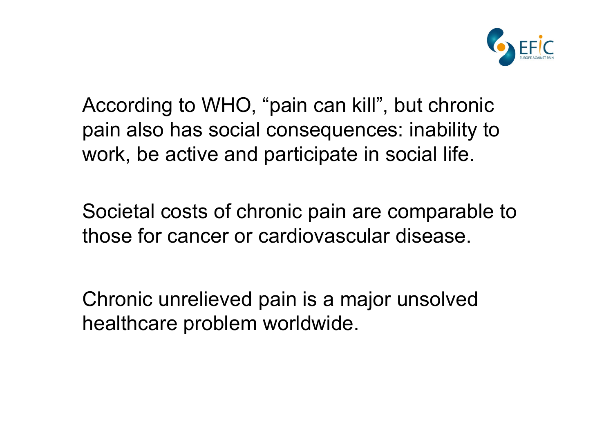

According to WHO, "pain can kill", but chronic pain also has social consequences: inability to work, be active and participate in social life.

Societal costs of chronic pain are comparable tothose for cancer or cardiovascular disease.

Chronic unrelieved pain is a major unsolved healthcare problem worldwide.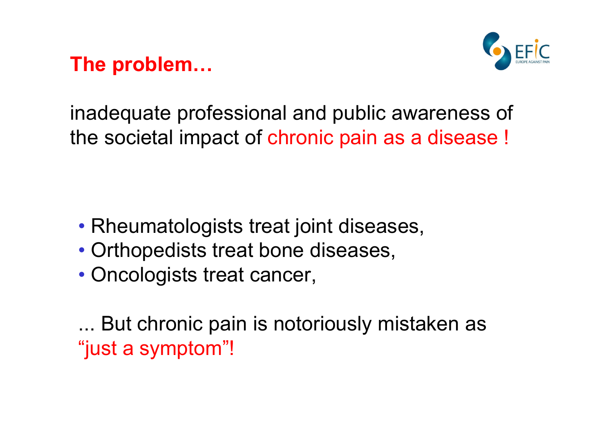The problem…



inadequate professional and public awareness of the societal impact of chronic pain as a disease !

- Rheumatologists treat joint diseases,
- Orthopedists treat bone diseases,
- Oncologists treat cancer,

... But chronic pain is notoriously mistaken as "just a symptom"!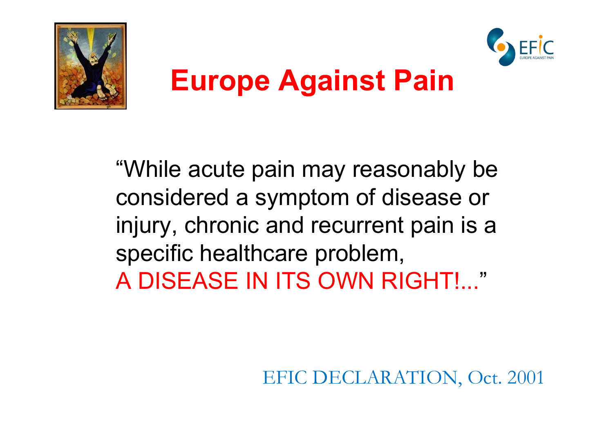



# Europe Against Pain

"While acute pain may reasonably be considered a symptom of disease or injury, chronic and recurrent pain is a specific healthcare problem,A DISEASE IN ITS OWN RIGHT!..."

EFIC DECLARATION, Oct. 2001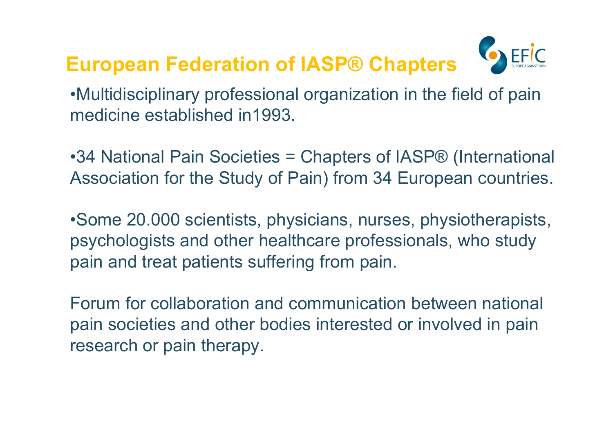#### European Federation of IASP® Chapters



•Multidisciplinary professional organization in the field of pain medicine established in1993.

•34 National Pain Societies = Chapters of IASP® (International Association for the Study of Pain) from 34 European countries.

•Some 20.000 scientists, physicians, nurses, physiotherapists, psychologists and other healthcare professionals, who study pain and treat patients suffering from pain.

Forum for collaboration and communication between national pain societies and other bodies interested or involved in pain research or pain therapy.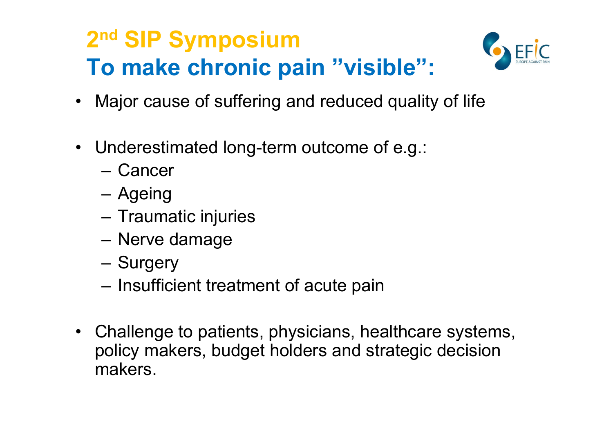# 2<sup>nd</sup> SIP Symposium To make chronic pain "visible":



- Major cause of suffering and reduced quality of life
- Underestimated long-term outcome of e.g.:
	- –Cancer
	- –Ageing<br>  $\overline{z}$
	- –Traumatic injuries
	- –Nerve damage
	- –**Surgery**
	- –Insufficient treatment of acute pain
- Challenge to patients, physicians, healthcare systems,<br>noliev makers, hudget holders and strategic decision policy makers, budget holders and strategic decision makers.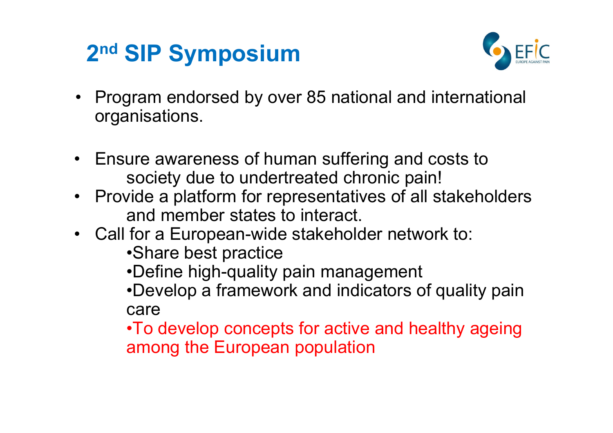## 2<sup>nd</sup> SIP Symposium



- • Program endorsed by over 85 national and international organisations.
- Ensure awareness of human suffering and costs to<br>society due to undertreated ebrenic pain! society due to undertreated chronic pain!
- Provide a platform for representatives of all stakeholders<br>and momber states to interact and member states to interact.
- Call for a European-wide stakeholder network to:
	- •Share best practice
	- •Define high-quality pain management

 •Develop a framework and indicators of quality paincare

 •To develop concepts for active and healthy ageing among the European population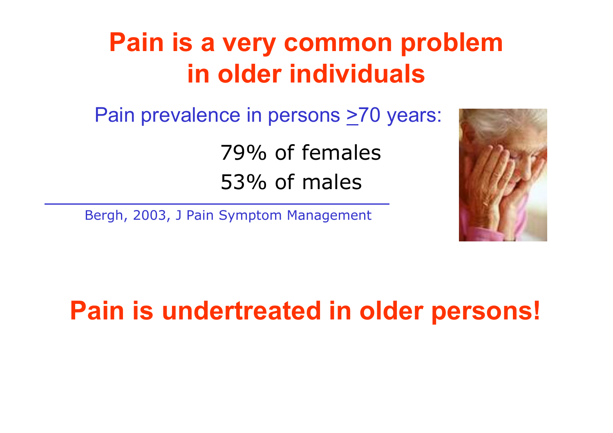# Pain is a very common problemin older individuals

Pain prevalence in persons >70 years:

79% of females53% of males

Bergh, 2003, J Pain Symptom Management



### Pain is undertreated in older persons!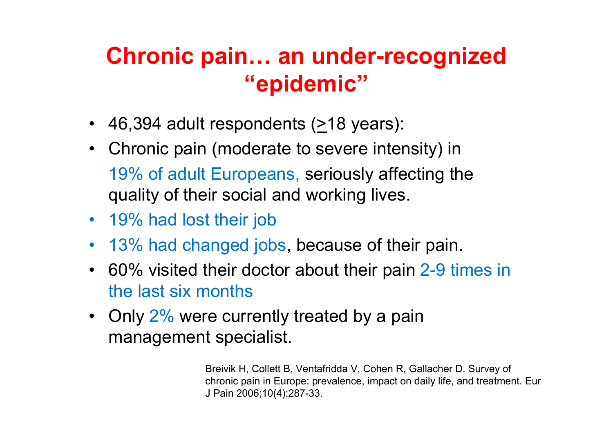### Chronic pain… an under-recognized "epidemic"

- 46,394 adult respondents ( $\geq$ 18 years):
- Chronic pain (moderate to severe intensity) in 19% of adult Europeans, seriously affecting the quality of their social and working lives.
- 19% had lost their job
- 13% had changed jobs, because of their pain.
- 60% visited their doctor about their pain 2-9 times in the last six months
- Only 2% were currently treated by a pain<br>management specialist management specialist.

Breivik H, Collett B, Ventafridda V, Cohen R, Gallacher D. Survey of chronic pain in Europe: prevalence, impact on daily life, and treatment. Eur J Pain 2006;10(4):287-33.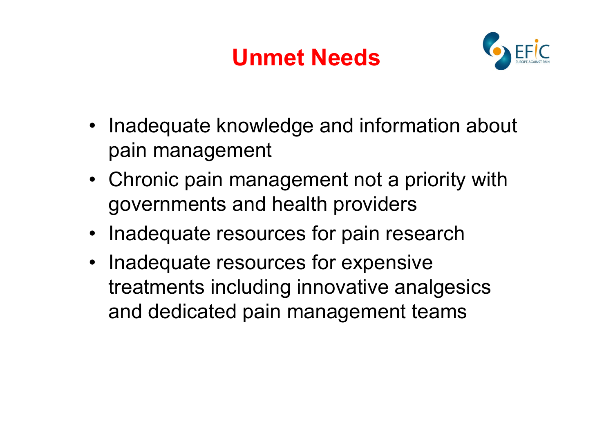# Unmet Needs



- Inadequate knowledge and information about pain management
- Chronic pain management not a priority with governments and health providers
- Inadequate resources for pain research
- Inadequate resources for expensive treatments including innovative analgesics and dedicated pain management teams